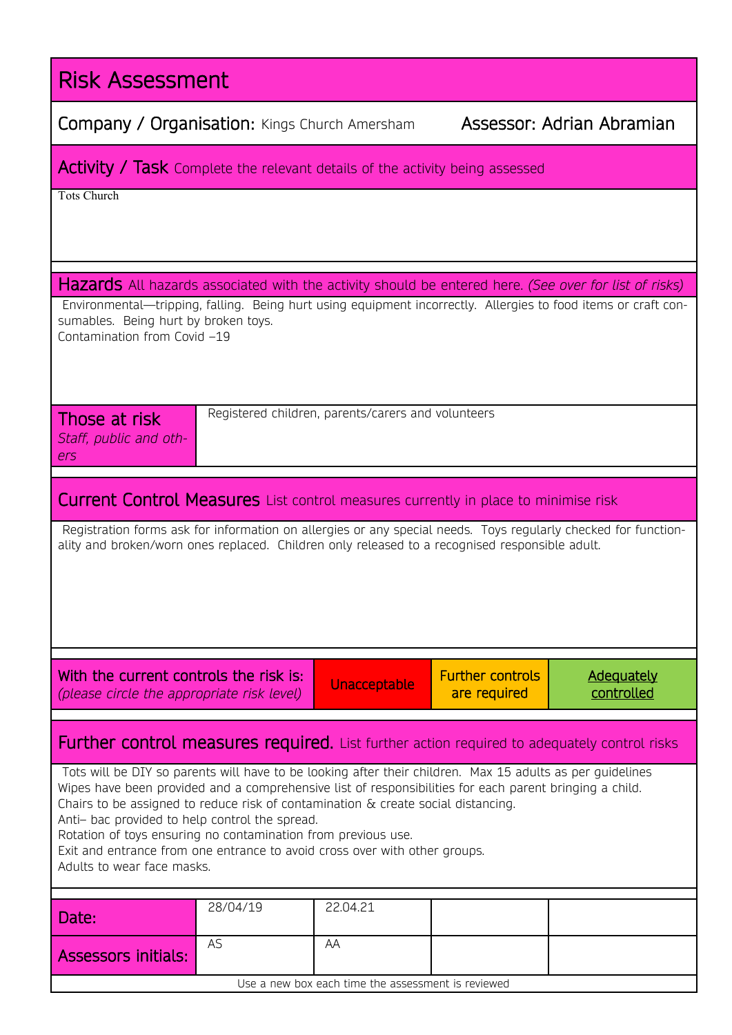| <b>Risk Assessment</b>                                                                                                                                                                                                                                                                                                                                                                                                                                                                                                                      |           |                                                    |                                         |                                 |  |  |  |  |  |
|---------------------------------------------------------------------------------------------------------------------------------------------------------------------------------------------------------------------------------------------------------------------------------------------------------------------------------------------------------------------------------------------------------------------------------------------------------------------------------------------------------------------------------------------|-----------|----------------------------------------------------|-----------------------------------------|---------------------------------|--|--|--|--|--|
| Assessor: Adrian Abramian<br><b>Company / Organisation:</b> Kings Church Amersham                                                                                                                                                                                                                                                                                                                                                                                                                                                           |           |                                                    |                                         |                                 |  |  |  |  |  |
| <b>Activity / Task</b> Complete the relevant details of the activity being assessed                                                                                                                                                                                                                                                                                                                                                                                                                                                         |           |                                                    |                                         |                                 |  |  |  |  |  |
| <b>Tots Church</b>                                                                                                                                                                                                                                                                                                                                                                                                                                                                                                                          |           |                                                    |                                         |                                 |  |  |  |  |  |
|                                                                                                                                                                                                                                                                                                                                                                                                                                                                                                                                             |           |                                                    |                                         |                                 |  |  |  |  |  |
| Hazards All hazards associated with the activity should be entered here. (See over for list of risks)<br>Environmental—tripping, falling. Being hurt using equipment incorrectly. Allergies to food items or craft con-<br>sumables. Being hurt by broken toys.<br>Contamination from Covid -19                                                                                                                                                                                                                                             |           |                                                    |                                         |                                 |  |  |  |  |  |
| Registered children, parents/carers and volunteers<br>Those at risk<br>Staff, public and oth-<br>ers                                                                                                                                                                                                                                                                                                                                                                                                                                        |           |                                                    |                                         |                                 |  |  |  |  |  |
| <b>Current Control Measures</b> List control measures currently in place to minimise risk                                                                                                                                                                                                                                                                                                                                                                                                                                                   |           |                                                    |                                         |                                 |  |  |  |  |  |
| Registration forms ask for information on allergies or any special needs. Toys regularly checked for function-<br>ality and broken/worn ones replaced. Children only released to a recognised responsible adult.                                                                                                                                                                                                                                                                                                                            |           |                                                    |                                         |                                 |  |  |  |  |  |
| With the current controls the risk is:<br>(please circle the appropriate risk level)                                                                                                                                                                                                                                                                                                                                                                                                                                                        |           | Unacceptable                                       | <b>Further controls</b><br>are required | <b>Adequately</b><br>controlled |  |  |  |  |  |
| <b>Further control measures required.</b> List further action required to adequately control risks                                                                                                                                                                                                                                                                                                                                                                                                                                          |           |                                                    |                                         |                                 |  |  |  |  |  |
| Tots will be DIY so parents will have to be looking after their children. Max 15 adults as per guidelines<br>Wipes have been provided and a comprehensive list of responsibilities for each parent bringing a child.<br>Chairs to be assigned to reduce risk of contamination $\&$ create social distancing.<br>Anti- bac provided to help control the spread.<br>Rotation of toys ensuring no contamination from previous use.<br>Exit and entrance from one entrance to avoid cross over with other groups.<br>Adults to wear face masks. |           |                                                    |                                         |                                 |  |  |  |  |  |
| Date:                                                                                                                                                                                                                                                                                                                                                                                                                                                                                                                                       | 28/04/19  | 22.04.21                                           |                                         |                                 |  |  |  |  |  |
| <b>Assessors initials:</b>                                                                                                                                                                                                                                                                                                                                                                                                                                                                                                                  | <b>AS</b> | AA                                                 |                                         |                                 |  |  |  |  |  |
|                                                                                                                                                                                                                                                                                                                                                                                                                                                                                                                                             |           | Use a new box each time the assessment is reviewed |                                         |                                 |  |  |  |  |  |